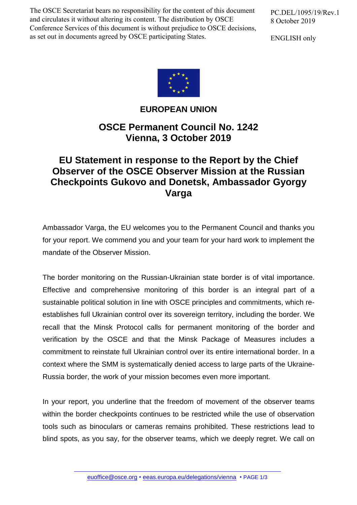The OSCE Secretariat bears no responsibility for the content of this document and circulates it without altering its content. The distribution by OSCE Conference Services of this document is without prejudice to OSCE decisions, as set out in documents agreed by OSCE participating States.

PC.DEL/1095/19/Rev.1 8 October 2019

ENGLISH only



**EUROPEAN UNION**

**OSCE Permanent Council No. 1242 Vienna, 3 October 2019**

## **EU Statement in response to the Report by the Chief Observer of the OSCE Observer Mission at the Russian Checkpoints Gukovo and Donetsk, Ambassador Gyorgy Varga**

Ambassador Varga, the EU welcomes you to the Permanent Council and thanks you for your report. We commend you and your team for your hard work to implement the mandate of the Observer Mission.

The border monitoring on the Russian-Ukrainian state border is of vital importance. Effective and comprehensive monitoring of this border is an integral part of a sustainable political solution in line with OSCE principles and commitments, which reestablishes full Ukrainian control over its sovereign territory, including the border. We recall that the Minsk Protocol calls for permanent monitoring of the border and verification by the OSCE and that the Minsk Package of Measures includes a commitment to reinstate full Ukrainian control over its entire international border. In a context where the SMM is systematically denied access to large parts of the Ukraine-Russia border, the work of your mission becomes even more important.

In your report, you underline that the freedom of movement of the observer teams within the border checkpoints continues to be restricted while the use of observation tools such as binoculars or cameras remains prohibited. These restrictions lead to blind spots, as you say, for the observer teams, which we deeply regret. We call on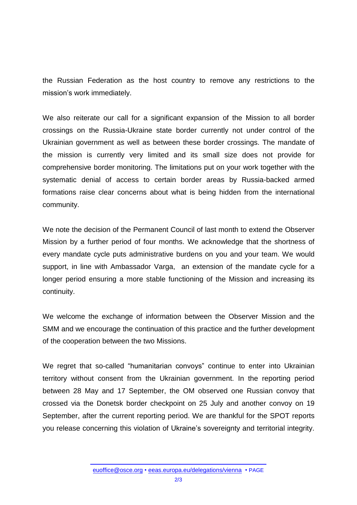the Russian Federation as the host country to remove any restrictions to the mission's work immediately.

We also reiterate our call for a significant expansion of the Mission to all border crossings on the Russia-Ukraine state border currently not under control of the Ukrainian government as well as between these border crossings. The mandate of the mission is currently very limited and its small size does not provide for comprehensive border monitoring. The limitations put on your work together with the systematic denial of access to certain border areas by Russia-backed armed formations raise clear concerns about what is being hidden from the international community.

We note the decision of the Permanent Council of last month to extend the Observer Mission by a further period of four months. We acknowledge that the shortness of every mandate cycle puts administrative burdens on you and your team. We would support, in line with Ambassador Varga, an extension of the mandate cycle for a longer period ensuring a more stable functioning of the Mission and increasing its continuity.

We welcome the exchange of information between the Observer Mission and the SMM and we encourage the continuation of this practice and the further development of the cooperation between the two Missions.

We regret that so-called "humanitarian convoys" continue to enter into Ukrainian territory without consent from the Ukrainian government. In the reporting period between 28 May and 17 September, the OM observed one Russian convoy that crossed via the Donetsk border checkpoint on 25 July and another convoy on 19 September, after the current reporting period. We are thankful for the SPOT reports you release concerning this violation of Ukraine's sovereignty and territorial integrity.